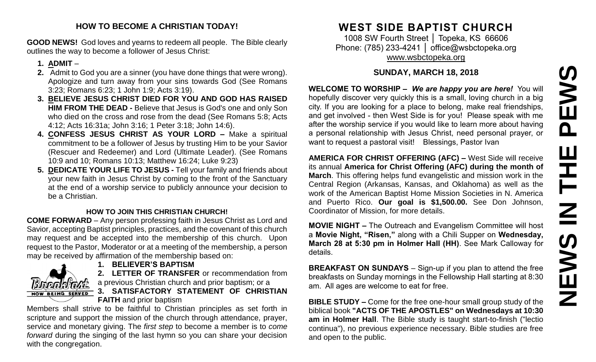#### **HOW TO BECOME A CHRISTIAN TODAY!**

**GOOD NEWS!** God loves and yearns to redeem all people. The Bible clearly outlines the way to become a follower of Jesus Christ:

#### **1. ADMIT** –

- **2.** Admit to God you are a sinner (you have done things that were wrong). Apologize and turn away from your sins towards God (See Romans 3:23; Romans 6:23; 1 John 1:9; Acts 3:19).
- **3. BELIEVE JESUS CHRIST DIED FOR YOU AND GOD HAS RAISED HIM FROM THE DEAD -** Believe that Jesus is God's one and only Son who died on the cross and rose from the dead (See Romans 5:8; Acts 4:12; Acts 16:31a; John 3:16; 1 Peter 3:18; John 14:6).
- **4. CONFESS JESUS CHRIST AS YOUR LORD –** Make a spiritual commitment to be a follower of Jesus by trusting Him to be your Savior (Rescuer and Redeemer) and Lord (Ultimate Leader). (See Romans 10:9 and 10; Romans 10:13; Matthew 16:24; Luke 9:23)
- **5. DEDICATE YOUR LIFE TO JESUS -** Tell your family and friends about your new faith in Jesus Christ by coming to the front of the Sanctuary at the end of a worship service to publicly announce your decision to be a Christian.

#### **HOW TO JOIN THIS CHRISTIAN CHURCH!**

**COME FORWARD** – Any person professing faith in Jesus Christ as Lord and Savior, accepting Baptist principles, practices, and the covenant of this church may request and be accepted into the membership of this church. Upon request to the Pastor, Moderator or at a meeting of the membership, a person may be received by affirmation of the membership based on:



### **1. BELIEVER'S BAPTISM**

**2. LETTER OF TRANSFER** or recommendation from a previous Christian church and prior baptism; or a **3. SATISFACTORY STATEMENT OF CHRISTIAN FAITH** and prior baptism

Members shall strive to be faithful to Christian principles as set forth in scripture and support the mission of the church through attendance, prayer, service and monetary giving. The *first step* to become a member is to *come forward* during the singing of the last hymn so you can share your decision with the congregation.

# **WEST SIDE BAPTIST CHURCH**

1008 SW Fourth Street │ Topeka, KS 66606 Phone: (785) 233-4241 │ [office@wsbctopeka.org](mailto:office@wsbctopeka.org) [www.wsbctopeka.org](http://www.wsbctopeka.org/)

## **SUNDAY, MARCH 18, 2018**

**WELCOME TO WORSHIP –** *We are happy you are here!* You will hopefully discover very quickly this is a small, loving church in a big city. If you are looking for a place to belong, make real friendships, and get involved - then West Side is for you! Please speak with me after the worship service if you would like to learn more about having a personal relationship with Jesus Christ, need personal prayer, or want to request a pastoral visit! Blessings, Pastor Ivan

**AMERICA FOR CHRIST OFFERING (AFC) –** West Side will receive its annual **America for Christ Offering (AFC) during the month of March**. This offering helps fund evangelistic and mission work in the Central Region (Arkansas, Kansas, and Oklahoma) as well as the work of the American Baptist Home Mission Societies in N. America and Puerto Rico. **Our goal is \$1,500.00.** See Don Johnson, Coordinator of Mission, for more details.

**MOVIE NIGHT –** The Outreach and Evangelism Committee will host a **Movie Night, "Risen,"** along with a Chili Supper on **Wednesday, March 28 at 5:30 pm in Holmer Hall (HH)**. See Mark Calloway for details.

**BREAKFAST ON SUNDAYS** – Sign-up if you plan to attend the free breakfasts on Sunday mornings in the Fellowship Hall starting at 8:30 am. All ages are welcome to eat for free.

**BIBLE STUDY –** Come for the free one-hour small group study of the biblical book **"ACTS OF THE APOSTLES" on Wednesdays at 10:30 am in Holmer Hall**. The Bible study is taught start-to-finish ("lectio continua"), no previous experience necessary. Bible studies are free and open to the public.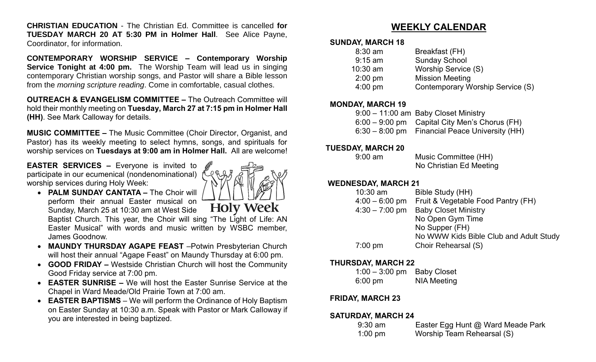**CHRISTIAN EDUCATION** - The Christian Ed. Committee is cancelled **for TUESDAY MARCH 20 AT 5:30 PM in Holmer Hall**. See Alice Payne, Coordinator, for information.

**CONTEMPORARY WORSHIP SERVICE – Contemporary Worship Service Tonight at 4:00 pm.** The Worship Team will lead us in singing contemporary Christian worship songs, and Pastor will share a Bible lesson from the *morning scripture reading*. Come in comfortable, casual clothes.

**OUTREACH & EVANGELISM COMMITTEE –** The Outreach Committee will hold their monthly meeting on **Tuesday, March 27 at 7:15 pm in Holmer Hall (HH)**. See Mark Calloway for details.

**MUSIC COMMITTEE –** The Music Committee (Choir Director, Organist, and Pastor) has its weekly meeting to select hymns, songs, and spirituals for worship services on **Tuesdays at 9:00 am in Holmer Hall.** All are welcome!

**EASTER SERVICES –** Everyone is invited to participate in our ecumenical (nondenominational) worship services during Holy Week:



- **PALM SUNDAY CANTATA –** The Choir will perform their annual Easter musical on **Holy Week** Sunday, March 25 at 10:30 am at West Side Baptist Church. This year, the Choir will sing "The Light of Life: AN Easter Musical" with words and music written by WSBC member, James Goodnow.
- **MAUNDY THURSDAY AGAPE FEAST** –Potwin Presbyterian Church will host their annual "Agape Feast" on Maundy Thursday at 6:00 pm.
- **GOOD FRIDAY –** Westside Christian Church will host the Community Good Friday service at 7:00 pm.
- **EASTER SUNRISE –** We will host the Easter Sunrise Service at the Chapel in Ward Meade/Old Prairie Town at 7:00 am.
- **EASTER BAPTISMS**  We will perform the Ordinance of Holy Baptism on Easter Sunday at 10:30 a.m. Speak with Pastor or Mark Calloway if you are interested in being baptized.

## **WEEKLY CALENDAR**

#### **SUNDAY, MARCH 18**

| $8:30$ am         | Breakfast (FH)                   |
|-------------------|----------------------------------|
| $9:15$ am         | <b>Sunday School</b>             |
| $10:30$ am        | Worship Service (S)              |
| $2:00$ pm         | <b>Mission Meeting</b>           |
| $4:00 \text{ pm}$ | Contemporary Worship Service (S) |
|                   |                                  |

#### **MONDAY, MARCH 19**

| 9:00 - 11:00 am Baby Closet Ministry            |
|-------------------------------------------------|
| $6:00 - 9:00$ pm Capital City Men's Chorus (FH) |
| 6:30 – 8:00 pm Financial Peace University (HH)  |

#### **TUESDAY, MARCH 20**

9:00 am Music Committee (HH) No Christian Ed Meeting

#### **WEDNESDAY, MARCH 21**

| Bible Study (HH)                       |
|----------------------------------------|
| Fruit & Vegetable Food Pantry (FH)     |
| <b>Baby Closet Ministry</b>            |
| No Open Gym Time                       |
| No Supper (FH)                         |
| No WWW Kids Bible Club and Adult Study |
| Choir Rehearsal (S)                    |
|                                        |

#### **THURSDAY, MARCH 22**

| $1:00 - 3:00$ pm  | <b>Baby Closet</b> |
|-------------------|--------------------|
| $6:00 \text{ pm}$ | <b>NIA Meeting</b> |

### **FRIDAY, MARCH 23**

#### **SATURDAY, MARCH 24**

| $9:30$ am | Easter Egg Hunt @ Ward Meade Park |
|-----------|-----------------------------------|
| 1:00 pm   | Worship Team Rehearsal (S)        |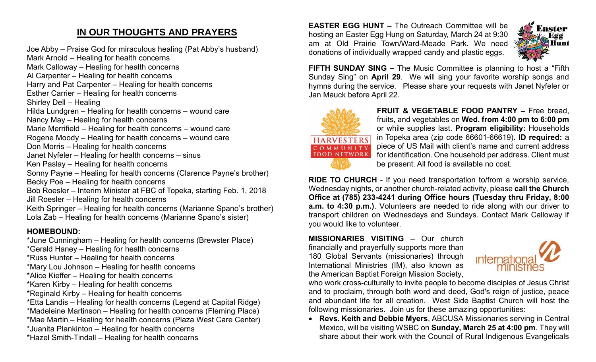## **IN OUR THOUGHTS AND PRAYERS**

Joe Abby – Praise God for miraculous healing (Pat Abby's husband)

Mark Arnold – Healing for health concerns Mark Calloway – Healing for health concerns

- Al Carpenter Healing for health concerns
- Harry and Pat Carpenter Healing for health concerns

Esther Carrier – Healing for health concerns

Shirley Dell – Healing

Hilda Lundgren – Healing for health concerns – wound care

Nancy May – Healing for health concerns

Marie Merrifield – Healing for health concerns – wound care

Rogene Moody – Healing for health concerns – wound care

- Don Morris Healing for health concerns
- Janet Nyfeler Healing for health concerns sinus
- Ken Paslay Healing for health concerns

Sonny Payne – Healing for health concerns (Clarence Payne's brother) Becky Poe – Healing for health concerns

Bob Roesler – Interim Minister at FBC of Topeka, starting Feb. 1, 2018 Jill Roesler – Healing for health concerns

Keith Springer – Healing for health concerns (Marianne Spano's brother) Lola Zab – Healing for health concerns (Marianne Spano's sister)

## **HOMEBOUND:**

\*June Cunningham – Healing for health concerns (Brewster Place)

\*Gerald Haney – Healing for health concerns

\*Russ Hunter – Healing for health concerns

\*Mary Lou Johnson – Healing for health concerns

\*Alice Kieffer – Healing for health concerns

\*Karen Kirby – Healing for health concerns

\*Reginald Kirby – Healing for health concerns

\*Etta Landis – Healing for health concerns (Legend at Capital Ridge)

\*Madeleine Martinson – Healing for health concerns (Fleming Place)

\*Mae Martin – Healing for health concerns (Plaza West Care Center)

\*Juanita Plankinton – Healing for health concerns

\*Hazel Smith-Tindall – Healing for health concerns

**EASTER EGG HUNT –** The Outreach Committee will be hosting an Easter Egg Hung on Saturday, March 24 at 9:30 am at Old Prairie Town/Ward-Meade Park. We need donations of individually wrapped candy and plastic eggs.



**FIFTH SUNDAY SING –** The Music Committee is planning to host a "Fifth Sunday Sing" on **April 29**. We will sing your favorite worship songs and hymns during the service. Please share your requests with Janet Nyfeler or Jan Mauck before April 22.



**FRUIT & VEGETABLE FOOD PANTRY –** Free bread, fruits, and vegetables on **Wed. from 4:00 pm to 6:00 pm**  or while supplies last. **Program eligibility:** Households in Topeka area (zip code 66601-66619). **ID required:** a piece of US Mail with client's name and current address for identification. One household per address. Client must be present. All food is available no cost.

**RIDE TO CHURCH** - If you need transportation to/from a worship service, Wednesday nights, or another church-related activity, please **call the Church Office at (785) 233-4241 during Office hours (Tuesday thru Friday, 8:00 a.m. to 4:30 p.m.)**. Volunteers are needed to ride along with our driver to transport children on Wednesdays and Sundays. Contact Mark Calloway if you would like to volunteer.

**MISSIONARIES VISITING** – Our church financially and prayerfully supports more than 180 Global Servants (missionaries) through International Ministries (IM), also known as the American Baptist Foreign Mission Society,



who work cross-culturally to invite people to become disciples of Jesus Christ and to proclaim, through both word and deed, God's reign of justice, peace and abundant life for all creation. West Side Baptist Church will host the following missionaries. Join us for these amazing opportunities:

• **Revs. Keith and Debbie Myers**, ABCUSA Missionaries serving in Central Mexico, will be visiting WSBC on **Sunday, March 25 at 4:00 pm**. They will share about their work with the Council of Rural Indigenous Evangelicals